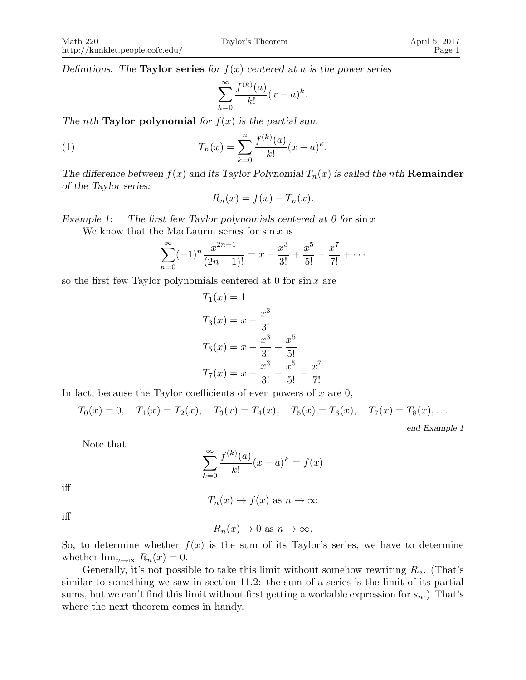Definitions. The **Taylor series** for  $f(x)$  centered at a is the power series

$$
\sum_{k=0}^{\infty} \frac{f^{(k)}(a)}{k!} (x-a)^k.
$$

The nth **Taylor polynomial** for  $f(x)$  is the partial sum

(1) 
$$
T_n(x) = \sum_{k=0}^n \frac{f^{(k)}(a)}{k!} (x-a)^k.
$$

The difference between  $f(x)$  and its Taylor Polynomial  $T_n(x)$  is called the nth **Remainder** of the Taylor series:

$$
R_n(x) = f(x) - T_n(x).
$$

Example 1: The first few Taylor polynomials centered at 0 for  $\sin x$ We know that the MacLaurin series for  $\sin x$  is

$$
\sum_{n=0}^{\infty} (-1)^n \frac{x^{2n+1}}{(2n+1)!} = x - \frac{x^3}{3!} + \frac{x^5}{5!} - \frac{x^7}{7!} + \cdots
$$

so the first few Taylor polynomials centered at 0 for  $\sin x$  are

$$
T_1(x) = 1
$$
  
\n
$$
T_3(x) = x - \frac{x^3}{3!}
$$
  
\n
$$
T_5(x) = x - \frac{x^3}{3!} + \frac{x^5}{5!}
$$
  
\n
$$
T_7(x) = x - \frac{x^3}{3!} + \frac{x^5}{5!} - \frac{x^7}{7!}
$$

In fact, because the Taylor coefficients of even powers of  $x$  are  $0$ ,

$$
T_0(x) = 0
$$
,  $T_1(x) = T_2(x)$ ,  $T_3(x) = T_4(x)$ ,  $T_5(x) = T_6(x)$ ,  $T_7(x) = T_8(x)$ ,...  
end Example 1

Note that

$$
\sum_{k=0}^{\infty} \frac{f^{(k)}(a)}{k!} (x - a)^k = f(x)
$$

iff

$$
T_n(x) \to f(x)
$$
 as  $n \to \infty$ 

iff

 $R_n(x) \to 0$  as  $n \to \infty$ .

So, to determine whether  $f(x)$  is the sum of its Taylor's series, we have to determine whether  $\lim_{n\to\infty} R_n(x) = 0$ .

Generally, it's not possible to take this limit without somehow rewriting  $R_n$ . (That's similar to something we saw in section 11.2: the sum of a series is the limit of its partial sums, but we can't find this limit without first getting a workable expression for  $s_n$ .) That's where the next theorem comes in handy.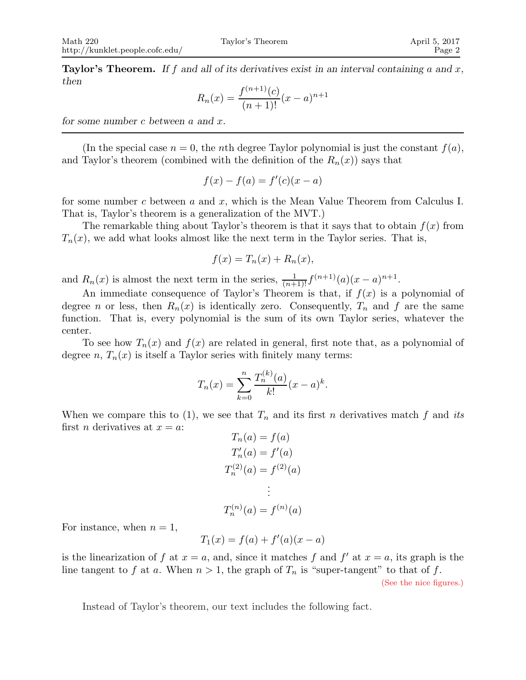**Taylor's Theorem.** If f and all of its derivatives exist in an interval containing a and x, then

$$
R_n(x) = \frac{f^{(n+1)}(c)}{(n+1)!}(x-a)^{n+1}
$$

for some number c between a and x.

(In the special case  $n = 0$ , the nth degree Taylor polynomial is just the constant  $f(a)$ , and Taylor's theorem (combined with the definition of the  $R_n(x)$ ) says that

$$
f(x) - f(a) = f'(c)(x - a)
$$

for some number c between a and x, which is the Mean Value Theorem from Calculus I. That is, Taylor's theorem is a generalization of the MVT.)

The remarkable thing about Taylor's theorem is that it says that to obtain  $f(x)$  from  $T_n(x)$ , we add what looks almost like the next term in the Taylor series. That is,

$$
f(x) = T_n(x) + R_n(x),
$$

and  $R_n(x)$  is almost the next term in the series,  $\frac{1}{(n+1)!} f^{(n+1)}(a)(x-a)^{n+1}$ .

An immediate consequence of Taylor's Theorem is that, if  $f(x)$  is a polynomial of degree n or less, then  $R_n(x)$  is identically zero. Consequently,  $T_n$  and f are the same function. That is, every polynomial is the sum of its own Taylor series, whatever the center.

To see how  $T_n(x)$  and  $f(x)$  are related in general, first note that, as a polynomial of degree n,  $T_n(x)$  is itself a Taylor series with finitely many terms:

$$
T_n(x) = \sum_{k=0}^n \frac{T_n^{(k)}(a)}{k!} (x - a)^k.
$$

When we compare this to (1), we see that  $T_n$  and its first n derivatives match f and its first *n* derivatives at  $x = a$ :

$$
T_n(a) = f(a)
$$
  
\n
$$
T'_n(a) = f'(a)
$$
  
\n
$$
T_n^{(2)}(a) = f^{(2)}(a)
$$
  
\n
$$
\vdots
$$
  
\n
$$
T_n^{(n)}(a) = f^{(n)}(a)
$$

For instance, when  $n = 1$ ,

$$
T_1(x) = f(a) + f'(a)(x - a)
$$

is the linearization of f at  $x = a$ , and, since it matches f and f' at  $x = a$ , its graph is the line tangent to f at a. When  $n > 1$ , the graph of  $T_n$  is "super-tangent" to that of f. (See the nice figures.)

Instead of Taylor's theorem, our text includes the following fact.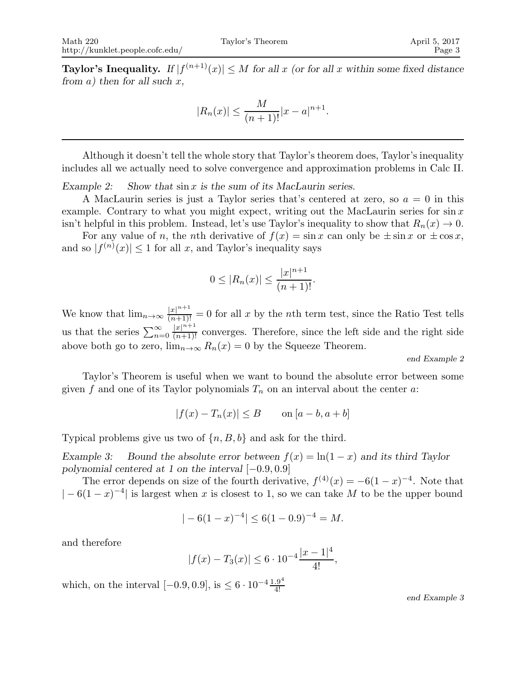**Taylor's Inequality.** If  $|f^{(n+1)}(x)| \leq M$  for all x (or for all x within some fixed distance from a) then for all such  $x$ ,

$$
|R_n(x)| \le \frac{M}{(n+1)!}|x-a|^{n+1}.
$$

Although it doesn't tell the whole story that Taylor's theorem does, Taylor's inequality includes all we actually need to solve convergence and approximation problems in Calc II.

Example 2: Show that  $\sin x$  is the sum of its MacLaurin series.

A MacLaurin series is just a Taylor series that's centered at zero, so  $a = 0$  in this example. Contrary to what you might expect, writing out the MacLaurin series for  $\sin x$ isn't helpful in this problem. Instead, let's use Taylor's inequality to show that  $R_n(x) \to 0$ .

For any value of n, the nth derivative of  $f(x) = \sin x$  can only be  $\pm \sin x$  or  $\pm \cos x$ , and so  $|f^{(n)}(x)| \leq 1$  for all x, and Taylor's inequality says

$$
0 \le |R_n(x)| \le \frac{|x|^{n+1}}{(n+1)!}.
$$

We know that  $\lim_{n\to\infty} \frac{|x|^{n+1}}{(n+1)!} = 0$  for all x by the nth term test, since the Ratio Test tells us that the series  $\sum_{n=0}^{\infty}$  $\frac{|x|^{n+1}}{(n+1)!}$  converges. Therefore, since the left side and the right side above both go to zero,  $\lim_{n\to\infty} R_n(x) = 0$  by the Squeeze Theorem.

end Example 2

Taylor's Theorem is useful when we want to bound the absolute error between some given f and one of its Taylor polynomials  $T_n$  on an interval about the center a:

$$
|f(x) - T_n(x)| \le B \qquad \text{on } [a - b, a + b]
$$

Typical problems give us two of  $\{n, B, b\}$  and ask for the third.

Example 3: Bound the absolute error between  $f(x) = \ln(1-x)$  and its third Taylor polynomial centered at 1 on the interval [−0.9, 0.9]

The error depends on size of the fourth derivative,  $f^{(4)}(x) = -6(1-x)^{-4}$ . Note that  $|-6(1-x)^{-4}|$  is largest when x is closest to 1, so we can take M to be the upper bound

$$
|-6(1-x)^{-4}| \le 6(1-0.9)^{-4} = M.
$$

and therefore

$$
|f(x) - T_3(x)| \le 6 \cdot 10^{-4} \frac{|x - 1|^4}{4!},
$$

which, on the interval  $[-0.9, 0.9]$ , is  $\leq 6 \cdot 10^{-4} \frac{1.9^4}{4!}$ 4!

end Example 3